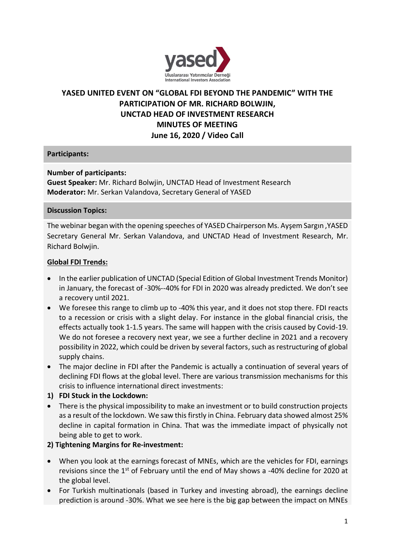

# **YASED UNITED EVENT ON "GLOBAL FDI BEYOND THE PANDEMIC" WITH THE PARTICIPATION OF MR. RICHARD BOLWJIN, UNCTAD HEAD OF INVESTMENT RESEARCH MINUTES OF MEETING June 16, 2020 / Video Call**

### **Participants:**

### **Number of participants:**

**Guest Speaker:** Mr. Richard Bolwjin, UNCTAD Head of Investment Research **Moderator:** Mr. Serkan Valandova, Secretary General of YASED

#### **Discussion Topics:**

The webinar began with the opening speeches of YASED Chairperson Ms. Ayşem Sargın ,YASED Secretary General Mr. Serkan Valandova, and UNCTAD Head of Investment Research, Mr. Richard Bolwjin.

#### **Global FDI Trends:**

- In the earlier publication of UNCTAD (Special Edition of Global Investment Trends Monitor) in January, the forecast of -30%--40% for FDI in 2020 was already predicted. We don't see a recovery until 2021.
- We foresee this range to climb up to -40% this year, and it does not stop there. FDI reacts to a recession or crisis with a slight delay. For instance in the global financial crisis, the effects actually took 1-1.5 years. The same will happen with the crisis caused by Covid-19. We do not foresee a recovery next year, we see a further decline in 2021 and a recovery possibility in 2022, which could be driven by several factors, such as restructuring of global supply chains.
- The major decline in FDI after the Pandemic is actually a continuation of several years of declining FDI flows at the global level. There are various transmission mechanisms for this crisis to influence international direct investments:

#### **1) FDI Stuck in the Lockdown:**

• There is the physical impossibility to make an investment or to build construction projects as a result of the lockdown. We saw this firstly in China. February data showed almost 25% decline in capital formation in China. That was the immediate impact of physically not being able to get to work.

#### **2) Tightening Margins for Re-investment:**

- When you look at the earnings forecast of MNEs, which are the vehicles for FDI, earnings revisions since the  $1<sup>st</sup>$  of February until the end of May shows a -40% decline for 2020 at the global level.
- For Turkish multinationals (based in Turkey and investing abroad), the earnings decline prediction is around -30%. What we see here is the big gap between the impact on MNEs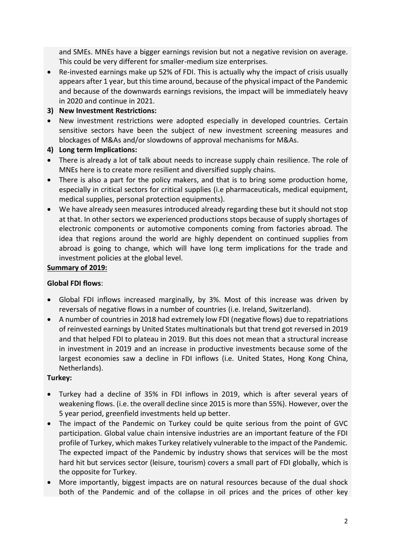and SMEs. MNEs have a bigger earnings revision but not a negative revision on average. This could be very different for smaller-medium size enterprises.

- Re-invested earnings make up 52% of FDI. This is actually why the impact of crisis usually appears after 1 year, but this time around, because of the physical impact of the Pandemic and because of the downwards earnings revisions, the impact will be immediately heavy in 2020 and continue in 2021.
- **3) New Investment Restrictions:**
- New investment restrictions were adopted especially in developed countries. Certain sensitive sectors have been the subject of new investment screening measures and blockages of M&As and/or slowdowns of approval mechanisms for M&As.
- **4) Long term Implications:**
- There is already a lot of talk about needs to increase supply chain resilience. The role of MNEs here is to create more resilient and diversified supply chains.
- There is also a part for the policy makers, and that is to bring some production home, especially in critical sectors for critical supplies (i.e pharmaceuticals, medical equipment, medical supplies, personal protection equipments).
- We have already seen measures introduced already regarding these but it should not stop at that. In other sectors we experienced productions stops because of supply shortages of electronic components or automotive components coming from factories abroad. The idea that regions around the world are highly dependent on continued supplies from abroad is going to change, which will have long term implications for the trade and investment policies at the global level.

### **Summary of 2019:**

#### **Global FDI flows**:

- Global FDI inflows increased marginally, by 3%. Most of this increase was driven by reversals of negative flows in a number of countries (i.e. Ireland, Switzerland).
- A number of countries in 2018 had extremely low FDI (negative flows) due to repatriations of reinvested earnings by United States multinationals but that trend got reversed in 2019 and that helped FDI to plateau in 2019. But this does not mean that a structural increase in investment in 2019 and an increase in productive investments because some of the largest economies saw a decline in FDI inflows (i.e. United States, Hong Kong China, Netherlands).

#### **Turkey:**

- Turkey had a decline of 35% in FDI inflows in 2019, which is after several years of weakening flows. (i.e. the overall decline since 2015 is more than 55%). However, over the 5 year period, greenfield investments held up better.
- The impact of the Pandemic on Turkey could be quite serious from the point of GVC participation. Global value chain intensive industries are an important feature of the FDI profile of Turkey, which makes Turkey relatively vulnerable to the impact of the Pandemic. The expected impact of the Pandemic by industry shows that services will be the most hard hit but services sector (leisure, tourism) covers a small part of FDI globally, which is the opposite for Turkey.
- More importantly, biggest impacts are on natural resources because of the dual shock both of the Pandemic and of the collapse in oil prices and the prices of other key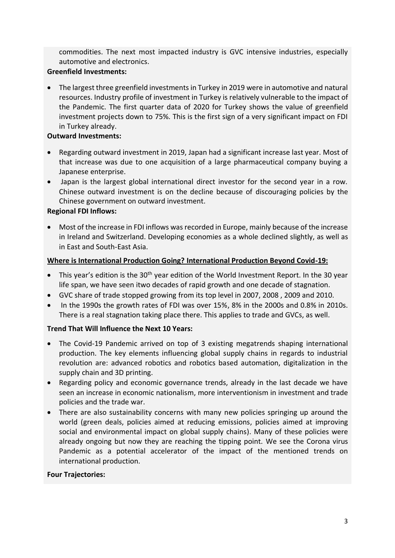commodities. The next most impacted industry is GVC intensive industries, especially automotive and electronics.

### **Greenfield Investments:**

• The largest three greenfield investments in Turkey in 2019 were in automotive and natural resources. Industry profile of investment in Turkey is relatively vulnerable to the impact of the Pandemic. The first quarter data of 2020 for Turkey shows the value of greenfield investment projects down to 75%. This is the first sign of a very significant impact on FDI in Turkey already.

### **Outward Investments:**

- Regarding outward investment in 2019, Japan had a significant increase last year. Most of that increase was due to one acquisition of a large pharmaceutical company buying a Japanese enterprise.
- Japan is the largest global international direct investor for the second year in a row. Chinese outward investment is on the decline because of discouraging policies by the Chinese government on outward investment.

### **Regional FDI Inflows:**

• Most of the increase in FDI inflows was recorded in Europe, mainly because of the increase in Ireland and Switzerland. Developing economies as a whole declined slightly, as well as in East and South-East Asia.

### **Where is International Production Going? International Production Beyond Covid-19:**

- This year's edition is the  $30<sup>th</sup>$  year edition of the World Investment Report. In the 30 year life span, we have seen itwo decades of rapid growth and one decade of stagnation.
- GVC share of trade stopped growing from its top level in 2007, 2008 , 2009 and 2010.
- In the 1990s the growth rates of FDI was over 15%, 8% in the 2000s and 0.8% in 2010s. There is a real stagnation taking place there. This applies to trade and GVCs, as well.

### **Trend That Will Influence the Next 10 Years:**

- The Covid-19 Pandemic arrived on top of 3 existing megatrends shaping international production. The key elements influencing global supply chains in regards to industrial revolution are: advanced robotics and robotics based automation, digitalization in the supply chain and 3D printing.
- Regarding policy and economic governance trends, already in the last decade we have seen an increase in economic nationalism, more interventionism in investment and trade policies and the trade war.
- There are also sustainability concerns with many new policies springing up around the world (green deals, policies aimed at reducing emissions, policies aimed at improving social and environmental impact on global supply chains). Many of these policies were already ongoing but now they are reaching the tipping point. We see the Corona virus Pandemic as a potential accelerator of the impact of the mentioned trends on international production.

#### **Four Trajectories:**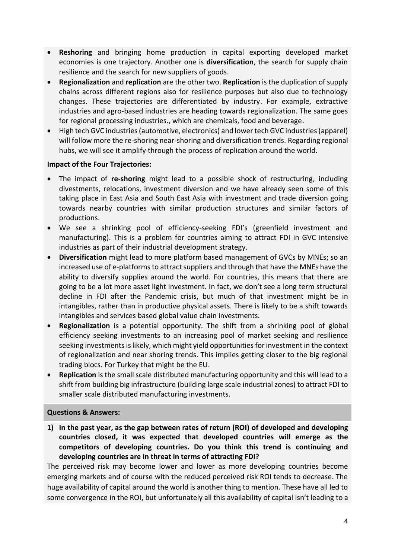- **Reshoring** and bringing home production in capital exporting developed market economies is one trajectory. Another one is **diversification**, the search for supply chain resilience and the search for new suppliers of goods.
- **Regionalization** and **replication** are the other two. **Replication** is the duplication of supply chains across different regions also for resilience purposes but also due to technology changes. These trajectories are differentiated by industry. For example, extractive industries and agro-based industries are heading towards regionalization. The same goes for regional processing industries., which are chemicals, food and beverage.
- High tech GVC industries (automotive, electronics) and lower tech GVC industries (apparel) will follow more the re-shoring near-shoring and diversification trends. Regarding regional hubs, we will see it amplify through the process of replication around the world.

### **Impact of the Four Trajectories:**

- The impact of **re-shoring** might lead to a possible shock of restructuring, including divestments, relocations, investment diversion and we have already seen some of this taking place in East Asia and South East Asia with investment and trade diversion going towards nearby countries with similar production structures and similar factors of productions.
- We see a shrinking pool of efficiency-seeking FDI's (greenfield investment and manufacturing). This is a problem for countries aiming to attract FDI in GVC intensive industries as part of their industrial development strategy.
- **Diversification** might lead to more platform based management of GVCs by MNEs; so an increased use of e-platforms to attract suppliers and through that have the MNEs have the ability to diversify supplies around the world. For countries, this means that there are going to be a lot more asset light investment. In fact, we don't see a long term structural decline in FDI after the Pandemic crisis, but much of that investment might be in intangibles, rather than in productive physical assets. There is likely to be a shift towards intangibles and services based global value chain investments.
- **Regionalization** is a potential opportunity. The shift from a shrinking pool of global efficiency seeking investments to an increasing pool of market seeking and resilience seeking investments is likely, which might yield opportunities for investment in the context of regionalization and near shoring trends. This implies getting closer to the big regional trading blocs. For Turkey that might be the EU.
- **Replication** is the small scale distributed manufacturing opportunity and this will lead to a shift from building big infrastructure (building large scale industrial zones) to attract FDI to smaller scale distributed manufacturing investments.

#### **Questions & Answers:**

**1) In the past year, as the gap between rates of return (ROI) of developed and developing countries closed, it was expected that developed countries will emerge as the competitors of developing countries. Do you think this trend is continuing and developing countries are in threat in terms of attracting FDI?** 

The perceived risk may become lower and lower as more developing countries become emerging markets and of course with the reduced perceived risk ROI tends to decrease. The huge availability of capital around the world is another thing to mention. These have all led to some convergence in the ROI, but unfortunately all this availability of capital isn't leading to a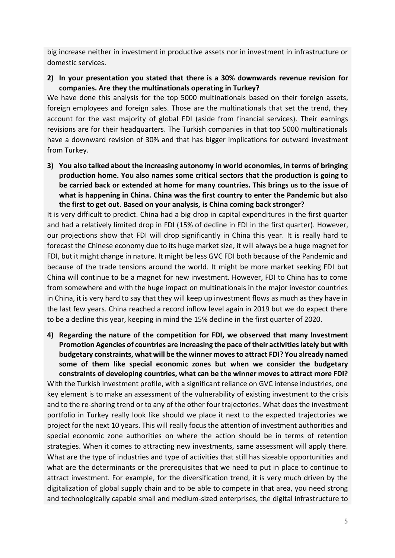big increase neither in investment in productive assets nor in investment in infrastructure or domestic services.

**2) In your presentation you stated that there is a 30% downwards revenue revision for companies. Are they the multinationals operating in Turkey?** 

We have done this analysis for the top 5000 multinationals based on their foreign assets, foreign employees and foreign sales. Those are the multinationals that set the trend, they account for the vast majority of global FDI (aside from financial services). Their earnings revisions are for their headquarters. The Turkish companies in that top 5000 multinationals have a downward revision of 30% and that has bigger implications for outward investment from Turkey.

**3) You also talked about the increasing autonomy in world economies, in terms of bringing production home. You also names some critical sectors that the production is going to be carried back or extended at home for many countries. This brings us to the issue of what is happening in China. China was the first country to enter the Pandemic but also the first to get out. Based on your analysis, is China coming back stronger?** 

It is very difficult to predict. China had a big drop in capital expenditures in the first quarter and had a relatively limited drop in FDI (15% of decline in FDI in the first quarter). However, our projections show that FDI will drop significantly in China this year. It is really hard to forecast the Chinese economy due to its huge market size, it will always be a huge magnet for FDI, but it might change in nature. It might be less GVC FDI both because of the Pandemic and because of the trade tensions around the world. It might be more market seeking FDI but China will continue to be a magnet for new investment. However, FDI to China has to come from somewhere and with the huge impact on multinationals in the major investor countries in China, it is very hard to say that they will keep up investment flows as much as they have in the last few years. China reached a record inflow level again in 2019 but we do expect there to be a decline this year, keeping in mind the 15% decline in the first quarter of 2020.

**4) Regarding the nature of the competition for FDI, we observed that many Investment Promotion Agencies of countries are increasing the pace of their activities lately but with budgetary constraints, what will be the winner moves to attract FDI? You already named some of them like special economic zones but when we consider the budgetary** 

**constraints of developing countries, what can be the winner moves to attract more FDI?** With the Turkish investment profile, with a significant reliance on GVC intense industries, one key element is to make an assessment of the vulnerability of existing investment to the crisis and to the re-shoring trend or to any of the other four trajectories. What does the investment portfolio in Turkey really look like should we place it next to the expected trajectories we project for the next 10 years. This will really focus the attention of investment authorities and special economic zone authorities on where the action should be in terms of retention strategies. When it comes to attracting new investments, same assessment will apply there. What are the type of industries and type of activities that still has sizeable opportunities and what are the determinants or the prerequisites that we need to put in place to continue to attract investment. For example, for the diversification trend, it is very much driven by the digitalization of global supply chain and to be able to compete in that area, you need strong and technologically capable small and medium-sized enterprises, the digital infrastructure to